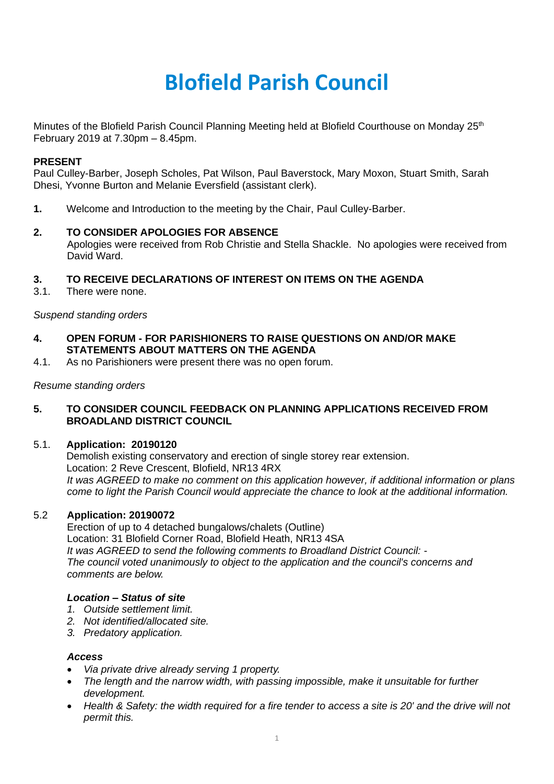# **Blofield Parish Council**

Minutes of the Blofield Parish Council Planning Meeting held at Blofield Courthouse on Monday 25<sup>th</sup> February 2019 at 7.30pm – 8.45pm.

# **PRESENT**

Paul Culley-Barber, Joseph Scholes, Pat Wilson, Paul Baverstock, Mary Moxon, Stuart Smith, Sarah Dhesi, Yvonne Burton and Melanie Eversfield (assistant clerk).

**1.** Welcome and Introduction to the meeting by the Chair, Paul Culley-Barber.

## **2. TO CONSIDER APOLOGIES FOR ABSENCE**

Apologies were received from Rob Christie and Stella Shackle. No apologies were received from David Ward.

## **3. TO RECEIVE DECLARATIONS OF INTEREST ON ITEMS ON THE AGENDA**

3.1. There were none.

## *Suspend standing orders*

- **4. OPEN FORUM - FOR PARISHIONERS TO RAISE QUESTIONS ON AND/OR MAKE STATEMENTS ABOUT MATTERS ON THE AGENDA**
- 4.1. As no Parishioners were present there was no open forum.

## *Resume standing orders*

## **5. TO CONSIDER COUNCIL FEEDBACK ON PLANNING APPLICATIONS RECEIVED FROM BROADLAND DISTRICT COUNCIL**

#### 5.1. **Application: 20190120**

Demolish existing conservatory and erection of single storey rear extension. Location: 2 Reve Crescent, Blofield, NR13 4RX *It was AGREED to make no comment on this application however, if additional information or plans come to light the Parish Council would appreciate the chance to look at the additional information.* 

#### 5.2 **Application: 20190072**

Erection of up to 4 detached bungalows/chalets (Outline) Location: 31 Blofield Corner Road, Blofield Heath, NR13 4SA *It was AGREED to send the following comments to Broadland District Council: - The council voted unanimously to object to the application and the council's concerns and comments are below.*

# *Location – Status of site*

- *1. Outside settlement limit.*
- *2. Not identified/allocated site.*
- *3. Predatory application.*

### *Access*

- *Via private drive already serving 1 property.*
- *The length and the narrow width, with passing impossible, make it unsuitable for further development.*
- *Health & Safety: the width required for a fire tender to access a site is 20' and the drive will not permit this.*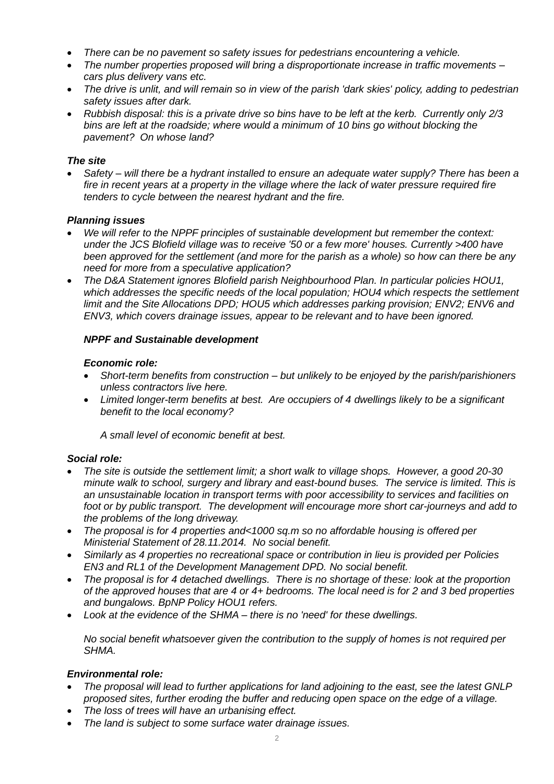- *There can be no pavement so safety issues for pedestrians encountering a vehicle.*
- *The number properties proposed will bring a disproportionate increase in traffic movements – cars plus delivery vans etc.*
- *The drive is unlit, and will remain so in view of the parish 'dark skies' policy, adding to pedestrian safety issues after dark.*
- *Rubbish disposal: this is a private drive so bins have to be left at the kerb. Currently only 2/3 bins are left at the roadside; where would a minimum of 10 bins go without blocking the pavement? On whose land?*

# *The site*

• *Safety – will there be a hydrant installed to ensure an adequate water supply? There has been a fire in recent years at a property in the village where the lack of water pressure required fire tenders to cycle between the nearest hydrant and the fire.*

# *Planning issues*

- *We will refer to the NPPF principles of sustainable development but remember the context: under the JCS Blofield village was to receive '50 or a few more' houses. Currently >400 have been approved for the settlement (and more for the parish as a whole) so how can there be any need for more from a speculative application?*
- *The D&A Statement ignores Blofield parish Neighbourhood Plan. In particular policies HOU1, which addresses the specific needs of the local population; HOU4 which respects the settlement limit and the Site Allocations DPD; HOU5 which addresses parking provision; ENV2; ENV6 and ENV3, which covers drainage issues, appear to be relevant and to have been ignored.*

# *NPPF and Sustainable development*

# *Economic role:*

- *Short-term benefits from construction – but unlikely to be enjoyed by the parish/parishioners unless contractors live here.*
- *Limited longer-term benefits at best. Are occupiers of 4 dwellings likely to be a significant benefit to the local economy?*

*A small level of economic benefit at best.*

# *Social role:*

- *The site is outside the settlement limit; a short walk to village shops. However, a good 20-30 minute walk to school, surgery and library and east-bound buses. The service is limited. This is an unsustainable location in transport terms with poor accessibility to services and facilities on foot or by public transport. The development will encourage more short car-journeys and add to the problems of the long driveway.*
- *The proposal is for 4 properties and<1000 sq.m so no affordable housing is offered per Ministerial Statement of 28.11.2014. No social benefit.*
- *Similarly as 4 properties no recreational space or contribution in lieu is provided per Policies EN3 and RL1 of the Development Management DPD. No social benefit.*
- *The proposal is for 4 detached dwellings. There is no shortage of these: look at the proportion of the approved houses that are 4 or 4+ bedrooms. The local need is for 2 and 3 bed properties and bungalows. BpNP Policy HOU1 refers.*
- *Look at the evidence of the SHMA – there is no 'need' for these dwellings.*

*No social benefit whatsoever given the contribution to the supply of homes is not required per SHMA.*

# *Environmental role:*

- *The proposal will lead to further applications for land adjoining to the east, see the latest GNLP proposed sites, further eroding the buffer and reducing open space on the edge of a village.*
- *The loss of trees will have an urbanising effect.*
- *The land is subject to some surface water drainage issues.*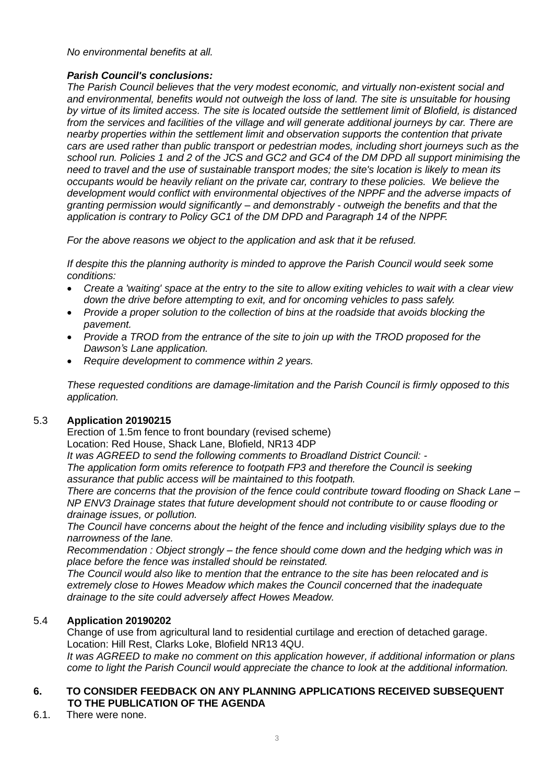# *No environmental benefits at all.*

# *Parish Council's conclusions:*

*The Parish Council believes that the very modest economic, and virtually non-existent social and and environmental, benefits would not outweigh the loss of land. The site is unsuitable for housing by virtue of its limited access. The site is located outside the settlement limit of Blofield, is distanced from the services and facilities of the village and will generate additional journeys by car. There are nearby properties within the settlement limit and observation supports the contention that private cars are used rather than public transport or pedestrian modes, including short journeys such as the school run. Policies 1 and 2 of the JCS and GC2 and GC4 of the DM DPD all support minimising the need to travel and the use of sustainable transport modes; the site's location is likely to mean its occupants would be heavily reliant on the private car, contrary to these policies. We believe the development would conflict with environmental objectives of the NPPF and the adverse impacts of granting permission would significantly – and demonstrably - outweigh the benefits and that the application is contrary to Policy GC1 of the DM DPD and Paragraph 14 of the NPPF.*

*For the above reasons we object to the application and ask that it be refused.*

*If despite this the planning authority is minded to approve the Parish Council would seek some conditions:*

- *Create a 'waiting' space at the entry to the site to allow exiting vehicles to wait with a clear view down the drive before attempting to exit, and for oncoming vehicles to pass safely.*
- *Provide a proper solution to the collection of bins at the roadside that avoids blocking the pavement.*
- *Provide a TROD from the entrance of the site to join up with the TROD proposed for the Dawson's Lane application.*
- *Require development to commence within 2 years.*

*These requested conditions are damage-limitation and the Parish Council is firmly opposed to this application.*

# 5.3 **Application 20190215**

Erection of 1.5m fence to front boundary (revised scheme) Location: Red House, Shack Lane, Blofield, NR13 4DP

*It was AGREED to send the following comments to Broadland District Council: -*

*The application form omits reference to footpath FP3 and therefore the Council is seeking assurance that public access will be maintained to this footpath.* 

*There are concerns that the provision of the fence could contribute toward flooding on Shack Lane – NP ENV3 Drainage states that future development should not contribute to or cause flooding or drainage issues, or pollution.*

*The Council have concerns about the height of the fence and including visibility splays due to the narrowness of the lane.* 

*Recommendation : Object strongly – the fence should come down and the hedging which was in place before the fence was installed should be reinstated.*

*The Council would also like to mention that the entrance to the site has been relocated and is extremely close to Howes Meadow which makes the Council concerned that the inadequate drainage to the site could adversely affect Howes Meadow.* 

# 5.4 **Application 20190202**

Change of use from agricultural land to residential curtilage and erection of detached garage. Location: Hill Rest, Clarks Loke, Blofield NR13 4QU.

*It was AGREED to make no comment on this application however, if additional information or plans come to light the Parish Council would appreciate the chance to look at the additional information.* 

# **6. TO CONSIDER FEEDBACK ON ANY PLANNING APPLICATIONS RECEIVED SUBSEQUENT TO THE PUBLICATION OF THE AGENDA**

6.1. There were none.